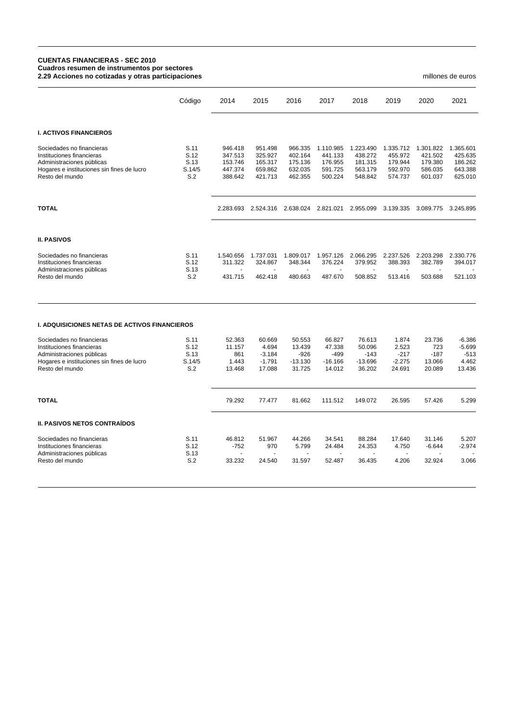## **CUENTAS FINANCIERAS - SEC 2010 Cuadros resumen de instrumentos por sectores 2.29 Acciones no cotizadas y otras participaciones** millones de euros

|                                                                                                                                                      | Código                                | 2014                                                | 2015                                                | 2016                                                | 2017                                                  | 2018                                                  | 2019                                                  | 2020                                                  | 2021                                                  |
|------------------------------------------------------------------------------------------------------------------------------------------------------|---------------------------------------|-----------------------------------------------------|-----------------------------------------------------|-----------------------------------------------------|-------------------------------------------------------|-------------------------------------------------------|-------------------------------------------------------|-------------------------------------------------------|-------------------------------------------------------|
| <b>I. ACTIVOS FINANCIEROS</b>                                                                                                                        |                                       |                                                     |                                                     |                                                     |                                                       |                                                       |                                                       |                                                       |                                                       |
| Sociedades no financieras<br>Instituciones financieras<br>Administraciones públicas<br>Hogares e instituciones sin fines de lucro<br>Resto del mundo | S.11<br>S.12<br>S.13<br>S.14/5<br>S.2 | 946.418<br>347.513<br>153.746<br>447.374<br>388.642 | 951.498<br>325.927<br>165.317<br>659.862<br>421.713 | 966.335<br>402.164<br>175.136<br>632.035<br>462.355 | 1.110.985<br>441.133<br>176.955<br>591.725<br>500.224 | 1.223.490<br>438.272<br>181.315<br>563.179<br>548.842 | 1.335.712<br>455.972<br>179.944<br>592.970<br>574.737 | 1.301.822<br>421.502<br>179.380<br>586.035<br>601.037 | 1.365.601<br>425.635<br>186.262<br>643.388<br>625.010 |
| <b>TOTAL</b>                                                                                                                                         |                                       |                                                     |                                                     | 2.283.693 2.524.316 2.638.024                       | 2.821.021                                             | 2.955.099                                             | 3.139.335                                             | 3.089.775                                             | 3.245.895                                             |
| <b>II. PASIVOS</b>                                                                                                                                   |                                       |                                                     |                                                     |                                                     |                                                       |                                                       |                                                       |                                                       |                                                       |
| Sociedades no financieras<br>Instituciones financieras<br>Administraciones públicas                                                                  | S.11<br>S.12<br>S.13                  | 1.540.656<br>311.322<br>÷.                          | 1.737.031<br>324.867<br>$\blacksquare$              | 1.809.017<br>348.344<br>$\sim$                      | 1.957.126<br>376.224<br>$\blacksquare$                | 2.066.295<br>379.952<br>$\mathbf{u}$                  | 2.237.526<br>388.393<br>÷.                            | 2.203.298<br>382.789<br>$\blacksquare$                | 2.330.776<br>394.017                                  |
| Resto del mundo                                                                                                                                      | S.2                                   | 431.715                                             | 462.418                                             | 480.663                                             | 487.670                                               | 508.852                                               | 513.416                                               | 503.688                                               | 521.103                                               |
| <b>I. ADQUISICIONES NETAS DE ACTIVOS FINANCIEROS</b>                                                                                                 |                                       |                                                     |                                                     |                                                     |                                                       |                                                       |                                                       |                                                       |                                                       |
| Sociedades no financieras                                                                                                                            | S.11                                  | 52.363                                              | 60.669                                              | 50.553                                              | 66.827                                                | 76.613                                                | 1.874                                                 | 23.736                                                | $-6.386$                                              |
| Instituciones financieras                                                                                                                            | S.12                                  | 11.157                                              | 4.694                                               | 13.439                                              | 47.338                                                | 50.096                                                | 2.523                                                 | 723                                                   | $-5.699$                                              |
| Administraciones públicas                                                                                                                            | S.13                                  | 861                                                 | $-3.184$                                            | $-926$                                              | $-499$                                                | $-143$                                                | $-217$                                                | $-187$                                                | $-513$                                                |
| Hogares e instituciones sin fines de lucro                                                                                                           | S.14/5                                | 1.443                                               | $-1.791$                                            | $-13.130$                                           | $-16.166$                                             | $-13.696$                                             | $-2.275$                                              | 13.066                                                | 4.462                                                 |
| Resto del mundo                                                                                                                                      | S.2                                   | 13.468                                              | 17.088                                              | 31.725                                              | 14.012                                                | 36.202                                                | 24.691                                                | 20.089                                                | 13.436                                                |
| <b>TOTAL</b>                                                                                                                                         |                                       | 79.292                                              | 77.477                                              | 81.662                                              | 111.512                                               | 149.072                                               | 26.595                                                | 57.426                                                | 5.299                                                 |
| <b>II. PASIVOS NETOS CONTRAÍDOS</b>                                                                                                                  |                                       |                                                     |                                                     |                                                     |                                                       |                                                       |                                                       |                                                       |                                                       |

| Sociedades no financieras | S.11 | 46.812 | 51.967                   | 44.266 | 34.541 | 88.284 | 17.640                   | 31.146   | 5.207                    |
|---------------------------|------|--------|--------------------------|--------|--------|--------|--------------------------|----------|--------------------------|
| Instituciones financieras | S.12 | -752   | 970                      | 5.799  | 24.484 | 24.353 | 4.750                    | $-6.644$ | $-2.974$                 |
| Administraciones públicas | S.13 |        | $\overline{\phantom{0}}$ |        |        | $\sim$ | $\overline{\phantom{0}}$ | $\sim$   | $\overline{\phantom{a}}$ |
| Resto del mundo           | S.2  | 33.232 | 24.540                   | 31.597 | 52.487 | 36.435 | 4.206                    | 32.924   | 3.066                    |
|                           |      |        |                          |        |        |        |                          |          |                          |